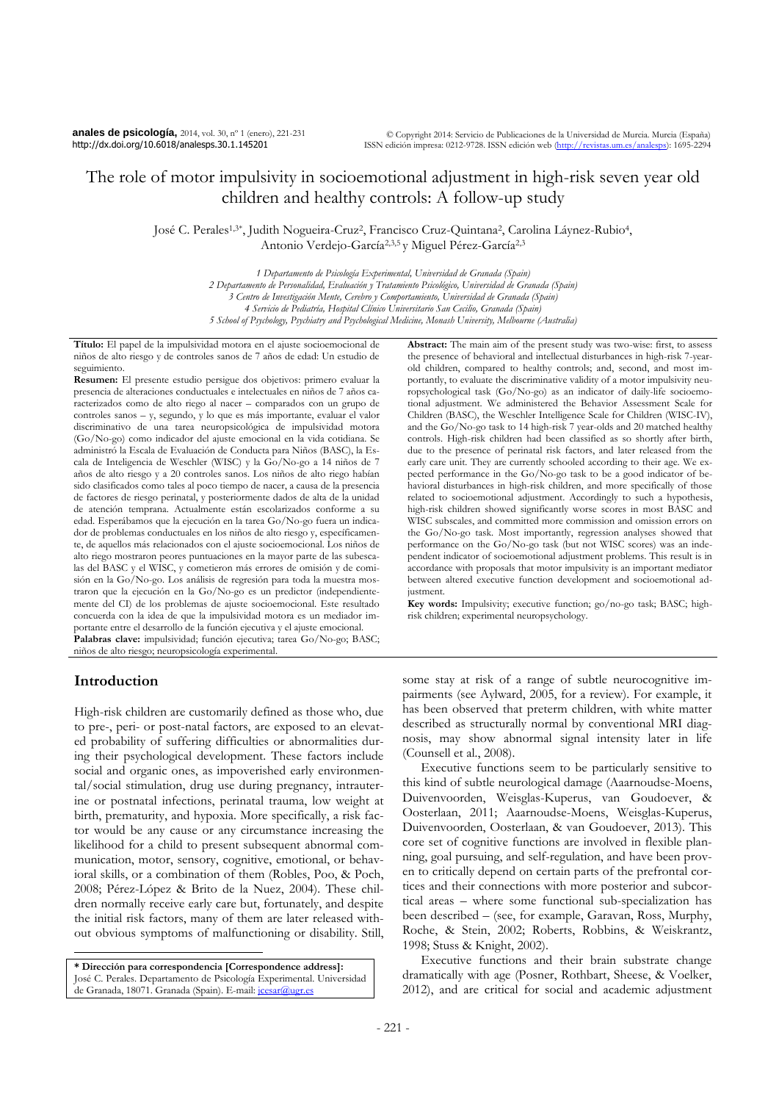**anales de psicología,** 2014, vol. 30, nº 1 (enero), 221-231 http://dx.doi.org/10.6018/analesps.30.1.145201

# The role of motor impulsivity in socioemotional adjustment in high-risk seven year old children and healthy controls: A follow-up study

José C. Perales<sup>1,3\*</sup>, Judith Nogueira-Cruz<sup>2</sup>, Francisco Cruz-Quintana<sup>2</sup>, Carolina Láynez-Rubio<sup>4</sup>, Antonio Verdejo-García2,3,5 y Miguel Pérez-García2,3

> *1 Departamento de Psicología Experimental, Universidad de Granada (Spain) 2 Departamento de Personalidad, Evaluación y Tratamiento Psicológico, Universidad de Granada (Spain) 3 Centro de Investigación Mente, Cerebro y Comportamiento, Universidad de Granada (Spain) 4 Servicio de Pediatría, Hospital Clínico Universitario San Cecilio, Granada (Spain) 5 School of Psychology, Psychiatry and Psychological Medicine, Monash University, Melbourne (Australia)*

**Título:** El papel de la impulsividad motora en el ajuste socioemocional de niños de alto riesgo y de controles sanos de 7 años de edad: Un estudio de seguimiento.

**Resumen:** El presente estudio persigue dos objetivos: primero evaluar la presencia de alteraciones conductuales e intelectuales en niños de 7 años caracterizados como de alto riego al nacer – comparados con un grupo de controles sanos – y, segundo, y lo que es más importante, evaluar el valor discriminativo de una tarea neuropsicológica de impulsividad motora (Go/No-go) como indicador del ajuste emocional en la vida cotidiana. Se administró la Escala de Evaluación de Conducta para Niños (BASC), la Escala de Inteligencia de Weschler (WISC) y la Go/No-go a 14 niños de 7 años de alto riesgo y a 20 controles sanos. Los niños de alto riego habían sido clasificados como tales al poco tiempo de nacer, a causa de la presencia de factores de riesgo perinatal, y posteriormente dados de alta de la unidad de atención temprana. Actualmente están escolarizados conforme a su edad. Esperábamos que la ejecución en la tarea Go/No-go fuera un indicador de problemas conductuales en los niños de alto riesgo y, específicamente, de aquellos más relacionados con el ajuste socioemocional. Los niños de alto riego mostraron peores puntuaciones en la mayor parte de las subescalas del BASC y el WISC, y cometieron más errores de omisión y de comisión en la Go/No-go. Los análisis de regresión para toda la muestra mostraron que la ejecución en la Go/No-go es un predictor (independientemente del CI) de los problemas de ajuste socioemocional. Este resultado concuerda con la idea de que la impulsividad motora es un mediador importante entre el desarrollo de la función ejecutiva y el ajuste emocional. **Palabras clave:** impulsividad; función ejecutiva; tarea Go/No-go; BASC; niños de alto riesgo; neuropsicología experimental.

## **Introduction**

 $\overline{a}$ 

High-risk children are customarily defined as those who, due to pre-, peri- or post-natal factors, are exposed to an elevated probability of suffering difficulties or abnormalities during their psychological development. These factors include social and organic ones, as impoverished early environmental/social stimulation, drug use during pregnancy, intrauterine or postnatal infections, perinatal trauma, low weight at birth, prematurity, and hypoxia. More specifically, a risk factor would be any cause or any circumstance increasing the likelihood for a child to present subsequent abnormal communication, motor, sensory, cognitive, emotional, or behavioral skills, or a combination of them (Robles, Poo, & Poch, 2008; Pérez-López & Brito de la Nuez, 2004). These children normally receive early care but, fortunately, and despite the initial risk factors, many of them are later released without obvious symptoms of malfunctioning or disability. Still,

**\* Dirección para correspondencia [Correspondence address]:**  José C. Perales. Departamento de Psicología Experimental. Universidad de Granada, 18071. Granada (Spain). E-mail[: jcesar@ugr.es](mailto:jcesar@ugr.es)

**Abstract:** The main aim of the present study was two-wise: first, to assess the presence of behavioral and intellectual disturbances in high-risk 7-yearold children, compared to healthy controls; and, second, and most importantly, to evaluate the discriminative validity of a motor impulsivity neuropsychological task (Go/No-go) as an indicator of daily-life socioemotional adjustment. We administered the Behavior Assessment Scale for Children (BASC), the Weschler Intelligence Scale for Children (WISC-IV), and the Go/No-go task to 14 high-risk 7 year-olds and 20 matched healthy controls. High-risk children had been classified as so shortly after birth, due to the presence of perinatal risk factors, and later released from the early care unit. They are currently schooled according to their age. We expected performance in the Go/No-go task to be a good indicator of behavioral disturbances in high-risk children, and more specifically of those related to socioemotional adjustment. Accordingly to such a hypothesis, high-risk children showed significantly worse scores in most BASC and WISC subscales, and committed more commission and omission errors on the Go/No-go task. Most importantly, regression analyses showed that performance on the Go/No-go task (but not WISC scores) was an independent indicator of socioemotional adjustment problems. This result is in accordance with proposals that motor impulsivity is an important mediator between altered executive function development and socioemotional adjustment.

**Key words:** Impulsivity; executive function; go/no-go task; BASC; highrisk children; experimental neuropsychology.

some stay at risk of a range of subtle neurocognitive impairments (see Aylward, 2005, for a review). For example, it has been observed that preterm children, with white matter described as structurally normal by conventional MRI diagnosis, may show abnormal signal intensity later in life (Counsell et al., 2008).

Executive functions seem to be particularly sensitive to this kind of subtle neurological damage (Aaarnoudse-Moens, Duivenvoorden, Weisglas-Kuperus, van Goudoever, & Oosterlaan, 2011; Aaarnoudse-Moens, Weisglas-Kuperus, Duivenvoorden, Oosterlaan, & van Goudoever, 2013). This core set of cognitive functions are involved in flexible planning, goal pursuing, and self-regulation, and have been proven to critically depend on certain parts of the prefrontal cortices and their connections with more posterior and subcortical areas – where some functional sub-specialization has been described – (see, for example, Garavan, Ross, Murphy, Roche, & Stein, 2002; Roberts, Robbins, & Weiskrantz, 1998; Stuss & Knight, 2002).

Executive functions and their brain substrate change dramatically with age (Posner, Rothbart, Sheese, & Voelker, 2012), and are critical for social and academic adjustment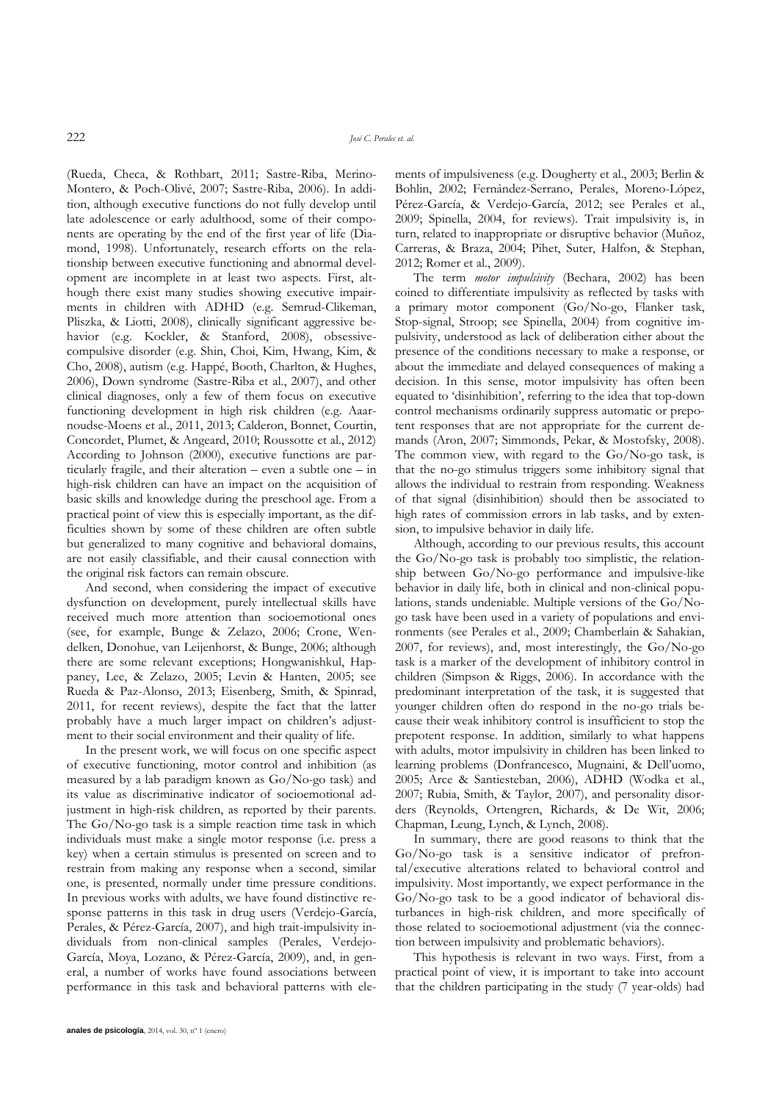(Rueda, Checa, & Rothbart, 2011; Sastre-Riba, Merino-Montero, & Poch-Olivé, 2007; Sastre-Riba, 2006). In addition, although executive functions do not fully develop until late adolescence or early adulthood, some of their components are operating by the end of the first year of life (Diamond, 1998). Unfortunately, research efforts on the relationship between executive functioning and abnormal development are incomplete in at least two aspects. First, although there exist many studies showing executive impairments in children with ADHD (e.g. Semrud-Clikeman, Pliszka, & Liotti, 2008), clinically significant aggressive behavior (e.g. Kockler, & Stanford, 2008), obsessivecompulsive disorder (e.g. Shin, Choi, Kim, Hwang, Kim, & Cho, 2008), autism (e.g. Happé, Booth, Charlton, & Hughes, 2006), Down syndrome (Sastre-Riba et al., 2007), and other clinical diagnoses, only a few of them focus on executive functioning development in high risk children (e.g. Aaarnoudse-Moens et al., 2011, 2013; Calderon, Bonnet, Courtin, Concordet, Plumet, & Angeard, 2010; Roussotte et al., 2012) According to Johnson (2000), executive functions are particularly fragile, and their alteration – even a subtle one – in high-risk children can have an impact on the acquisition of basic skills and knowledge during the preschool age. From a practical point of view this is especially important, as the difficulties shown by some of these children are often subtle but generalized to many cognitive and behavioral domains, are not easily classifiable, and their causal connection with the original risk factors can remain obscure.

And second, when considering the impact of executive dysfunction on development, purely intellectual skills have received much more attention than socioemotional ones (see, for example, Bunge & Zelazo, 2006; Crone, Wendelken, Donohue, van Leijenhorst, & Bunge, 2006; although there are some relevant exceptions; Hongwanishkul, Happaney, Lee, & Zelazo, 2005; Levin & Hanten, 2005; see Rueda & Paz-Alonso, 2013; Eisenberg, Smith, & Spinrad, 2011, for recent reviews), despite the fact that the latter probably have a much larger impact on children's adjustment to their social environment and their quality of life.

In the present work, we will focus on one specific aspect of executive functioning, motor control and inhibition (as measured by a lab paradigm known as Go/No-go task) and its value as discriminative indicator of socioemotional adjustment in high-risk children, as reported by their parents. The Go/No-go task is a simple reaction time task in which individuals must make a single motor response (i.e. press a key) when a certain stimulus is presented on screen and to restrain from making any response when a second, similar one, is presented, normally under time pressure conditions. In previous works with adults, we have found distinctive response patterns in this task in drug users (Verdejo-García, Perales, & Pérez-García, 2007), and high trait-impulsivity individuals from non-clinical samples (Perales, Verdejo-García, Moya, Lozano, & Pérez-García, 2009), and, in general, a number of works have found associations between performance in this task and behavioral patterns with elements of impulsiveness (e.g. Dougherty et al., 2003; Berlin & Bohlin, 2002; Fernández-Serrano, Perales, Moreno-López, Pérez-García, & Verdejo-García, 2012; see Perales et al., 2009; Spinella, 2004, for reviews). Trait impulsivity is, in turn, related to inappropriate or disruptive behavior (Muñoz, Carreras, & Braza, 2004; Pihet, Suter, Halfon, & Stephan, 2012; Romer et al., 2009).

The term *motor impulsivity* (Bechara, 2002) has been coined to differentiate impulsivity as reflected by tasks with a primary motor component (Go/No-go, Flanker task, Stop-signal, Stroop; see Spinella, 2004) from cognitive impulsivity, understood as lack of deliberation either about the presence of the conditions necessary to make a response, or about the immediate and delayed consequences of making a decision. In this sense, motor impulsivity has often been equated to "disinhibition", referring to the idea that top-down control mechanisms ordinarily suppress automatic or prepotent responses that are not appropriate for the current demands (Aron, 2007; Simmonds, Pekar, & Mostofsky, 2008). The common view, with regard to the Go/No-go task, is that the no-go stimulus triggers some inhibitory signal that allows the individual to restrain from responding. Weakness of that signal (disinhibition) should then be associated to high rates of commission errors in lab tasks, and by extension, to impulsive behavior in daily life.

Although, according to our previous results, this account the Go/No-go task is probably too simplistic, the relationship between Go/No-go performance and impulsive-like behavior in daily life, both in clinical and non-clinical populations, stands undeniable. Multiple versions of the Go/Nogo task have been used in a variety of populations and environments (see Perales et al., 2009; Chamberlain & Sahakian, 2007, for reviews), and, most interestingly, the Go/No-go task is a marker of the development of inhibitory control in children (Simpson & Riggs, 2006). In accordance with the predominant interpretation of the task, it is suggested that younger children often do respond in the no-go trials because their weak inhibitory control is insufficient to stop the prepotent response. In addition, similarly to what happens with adults, motor impulsivity in children has been linked to learning problems (Donfrancesco, Mugnaini, & Dell"uomo, 2005; Arce & Santiesteban, 2006), ADHD (Wodka et al., 2007; Rubia, Smith, & Taylor, 2007), and personality disorders (Reynolds, Ortengren, Richards, & De Wit, 2006; Chapman, Leung, Lynch, & Lynch, 2008).

In summary, there are good reasons to think that the Go/No-go task is a sensitive indicator of prefrontal/executive alterations related to behavioral control and impulsivity. Most importantly, we expect performance in the Go/No-go task to be a good indicator of behavioral disturbances in high-risk children, and more specifically of those related to socioemotional adjustment (via the connection between impulsivity and problematic behaviors).

This hypothesis is relevant in two ways. First, from a practical point of view, it is important to take into account that the children participating in the study (7 year-olds) had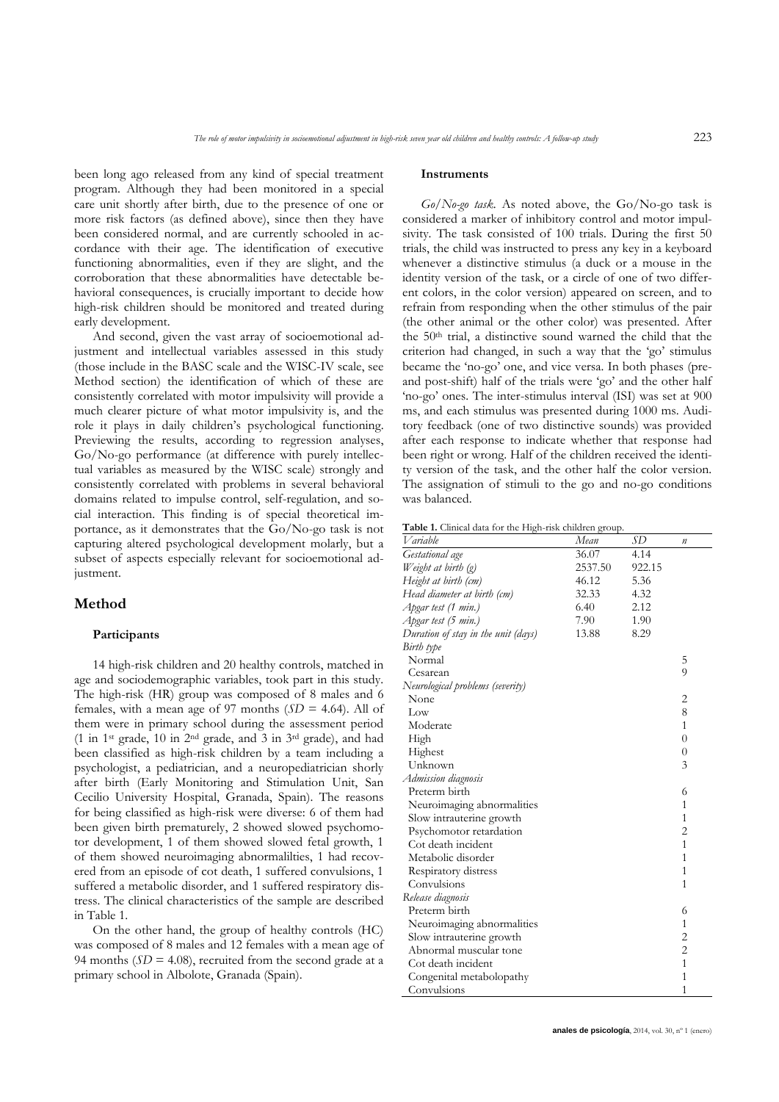been long ago released from any kind of special treatment program. Although they had been monitored in a special care unit shortly after birth, due to the presence of one or more risk factors (as defined above), since then they have been considered normal, and are currently schooled in accordance with their age. The identification of executive functioning abnormalities, even if they are slight, and the corroboration that these abnormalities have detectable behavioral consequences, is crucially important to decide how high-risk children should be monitored and treated during early development.

And second, given the vast array of socioemotional adjustment and intellectual variables assessed in this study (those include in the BASC scale and the WISC-IV scale, see Method section) the identification of which of these are consistently correlated with motor impulsivity will provide a much clearer picture of what motor impulsivity is, and the role it plays in daily children"s psychological functioning. Previewing the results, according to regression analyses, Go/No-go performance (at difference with purely intellectual variables as measured by the WISC scale) strongly and consistently correlated with problems in several behavioral domains related to impulse control, self-regulation, and social interaction. This finding is of special theoretical importance, as it demonstrates that the Go/No-go task is not capturing altered psychological development molarly, but a subset of aspects especially relevant for socioemotional adjustment.

#### **Method**

#### **Participants**

14 high-risk children and 20 healthy controls, matched in age and sociodemographic variables, took part in this study. The high-risk (HR) group was composed of 8 males and 6 females, with a mean age of 97 months  $(SD = 4.64)$ . All of them were in primary school during the assessment period (1 in 1st grade, 10 in 2nd grade, and 3 in 3rd grade), and had been classified as high-risk children by a team including a psychologist, a pediatrician, and a neuropediatrician shorly after birth (Early Monitoring and Stimulation Unit, San Cecilio University Hospital, Granada, Spain). The reasons for being classified as high-risk were diverse: 6 of them had been given birth prematurely, 2 showed slowed psychomotor development, 1 of them showed slowed fetal growth, 1 of them showed neuroimaging abnormalilties, 1 had recovered from an episode of cot death, 1 suffered convulsions, 1 suffered a metabolic disorder, and 1 suffered respiratory distress. The clinical characteristics of the sample are described in Table 1.

On the other hand, the group of healthy controls (HC) was composed of 8 males and 12 females with a mean age of 94 months  $(SD = 4.08)$ , recruited from the second grade at a primary school in Albolote, Granada (Spain).

#### **Instruments**

*Go/No-go task.* As noted above, the Go/No-go task is considered a marker of inhibitory control and motor impulsivity. The task consisted of 100 trials. During the first 50 trials, the child was instructed to press any key in a keyboard whenever a distinctive stimulus (a duck or a mouse in the identity version of the task, or a circle of one of two different colors, in the color version) appeared on screen, and to refrain from responding when the other stimulus of the pair (the other animal or the other color) was presented. After the 50th trial, a distinctive sound warned the child that the criterion had changed, in such a way that the 'go' stimulus became the "no-go" one, and vice versa. In both phases (preand post-shift) half of the trials were "go" and the other half 'no-go' ones. The inter-stimulus interval (ISI) was set at 900 ms, and each stimulus was presented during 1000 ms. Auditory feedback (one of two distinctive sounds) was provided after each response to indicate whether that response had been right or wrong. Half of the children received the identity version of the task, and the other half the color version. The assignation of stimuli to the go and no-go conditions was balanced.

**Table 1.** Clinical data for the High-risk children group.

| Variable                            | Mean    | SD     | $\boldsymbol{n}$ |
|-------------------------------------|---------|--------|------------------|
| Gestational age                     | 36.07   | 4.14   |                  |
| Weight at birth (g)                 | 2537.50 | 922.15 |                  |
| Height at birth (cm)                | 46.12   | 5.36   |                  |
| Head diameter at birth (cm)         | 32.33   | 4.32   |                  |
| Apgar test (1 min.)                 | 6.40    | 2.12   |                  |
| Apgar test (5 min.)                 | 7.90    | 1.90   |                  |
| Duration of stay in the unit (days) | 13.88   | 8.29   |                  |
| Birth type                          |         |        |                  |
| Normal                              |         |        | 5                |
| Cesarean                            |         |        | 9                |
| Neurological problems (severity)    |         |        |                  |
| None                                |         |        | 2                |
| Low                                 |         |        | 8                |
| Moderate                            |         |        | $\mathbf{1}$     |
| High                                |         |        | $\overline{0}$   |
| Highest                             |         |        | $\overline{0}$   |
| Unknown                             |         |        | 3                |
| Admission diagnosis                 |         |        |                  |
| Preterm birth                       |         |        | 6                |
| Neuroimaging abnormalities          |         |        | $\mathbf{1}$     |
| Slow intrauterine growth            |         |        | 1                |
| Psychomotor retardation             |         |        | $\overline{2}$   |
| Cot death incident                  |         |        | $\mathbf{1}$     |
| Metabolic disorder                  |         |        | 1                |
| Respiratory distress                |         |        | $\mathbf{1}$     |
| Convulsions                         |         |        | 1                |
| Release diagnosis                   |         |        |                  |
| Preterm birth                       |         |        | 6                |
| Neuroimaging abnormalities          |         |        | $\mathbf{1}$     |
| Slow intrauterine growth            |         |        | $\overline{c}$   |
| Abnormal muscular tone              |         |        | $\overline{c}$   |
| Cot death incident                  |         |        | $\overline{1}$   |
| Congenital metabolopathy            |         |        | $\mathbf{1}$     |
| Convulsions                         |         |        | $\mathbf{1}$     |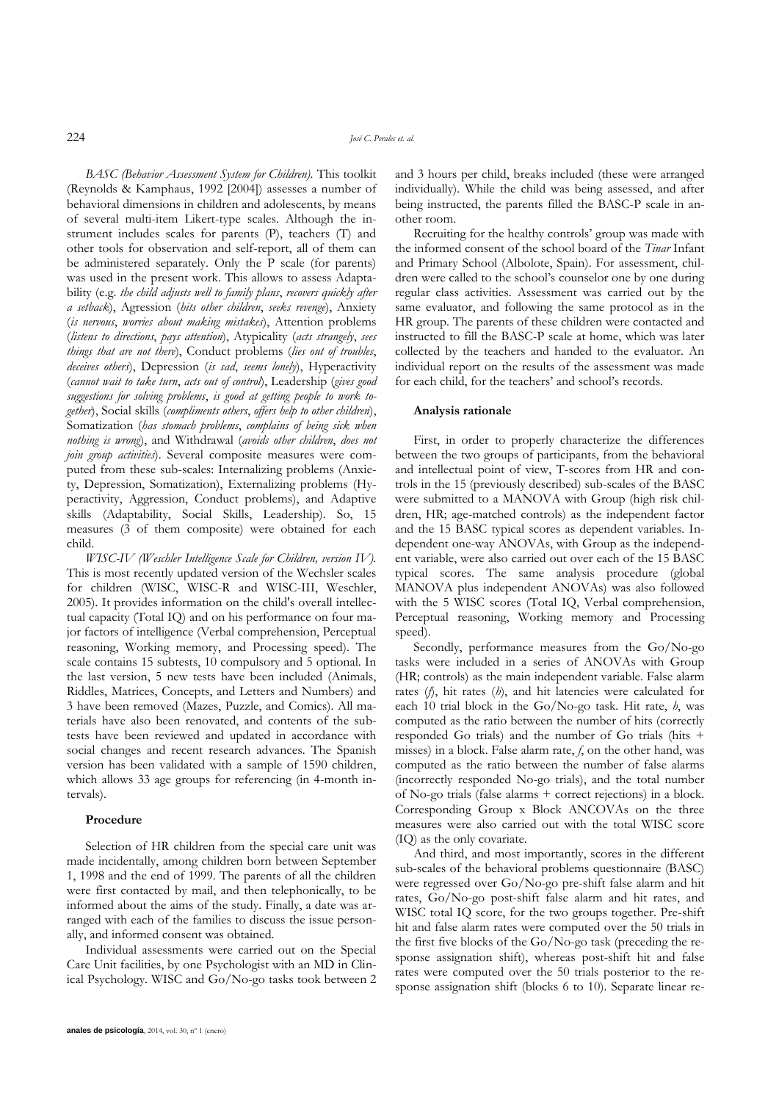*BASC (Behavior Assessment System for Children).* This toolkit (Reynolds & Kamphaus, 1992 [2004]) assesses a number of behavioral dimensions in children and adolescents, by means of several multi-item Likert-type scales. Although the instrument includes scales for parents (P), teachers (T) and other tools for observation and self-report, all of them can be administered separately. Only the P scale (for parents) was used in the present work. This allows to assess Adaptability (e.g. *the child adjusts well to family plans*, *recovers quickly after a setback*), Agression (*hits other children*, *seeks revenge*), Anxiety (*is nervous*, *worries about making mistakes*), Attention problems (*listens to directions*, *pays attention*), Atypicality (*acts strangely*, *sees things that are not there*), Conduct problems (*lies out of troubles*, *deceives others*), Depression (*is sad*, *seems lonely*), Hyperactivity (*cannot wait to take turn*, *acts out of control*), Leadership (*gives good suggestions for solving problems*, *is good at getting people to work together*), Social skills (*compliments others*, *offers help to other children*), Somatization (*has stomach problems*, *complains of being sick when nothing is wrong*), and Withdrawal (*avoids other children*, *does not join group activities*). Several composite measures were computed from these sub-scales: Internalizing problems (Anxiety, Depression, Somatization), Externalizing problems (Hyperactivity, Aggression, Conduct problems), and Adaptive skills (Adaptability, Social Skills, Leadership). So, 15 measures (3 of them composite) were obtained for each child.

*WISC-IV (Weschler Intelligence Scale for Children, version IV).* This is most recently updated version of the Wechsler scales for children (WISC, WISC-R and WISC-III, Weschler, 2005). It provides information on the child's overall intellectual capacity (Total IQ) and on his performance on four major factors of intelligence (Verbal comprehension, Perceptual reasoning, Working memory, and Processing speed). The scale contains 15 subtests, 10 compulsory and 5 optional. In the last version, 5 new tests have been included (Animals, Riddles, Matrices, Concepts, and Letters and Numbers) and 3 have been removed (Mazes, Puzzle, and Comics). All materials have also been renovated, and contents of the subtests have been reviewed and updated in accordance with social changes and recent research advances. The Spanish version has been validated with a sample of 1590 children, which allows 33 age groups for referencing (in 4-month intervals).

#### **Procedure**

Selection of HR children from the special care unit was made incidentally, among children born between September 1, 1998 and the end of 1999. The parents of all the children were first contacted by mail, and then telephonically, to be informed about the aims of the study. Finally, a date was arranged with each of the families to discuss the issue personally, and informed consent was obtained.

Individual assessments were carried out on the Special Care Unit facilities, by one Psychologist with an MD in Clinical Psychology. WISC and Go/No-go tasks took between 2 and 3 hours per child, breaks included (these were arranged individually). While the child was being assessed, and after being instructed, the parents filled the BASC-P scale in another room.

Recruiting for the healthy controls" group was made with the informed consent of the school board of the *Tinar* Infant and Primary School (Albolote, Spain). For assessment, children were called to the school's counselor one by one during regular class activities. Assessment was carried out by the same evaluator, and following the same protocol as in the HR group. The parents of these children were contacted and instructed to fill the BASC-P scale at home, which was later collected by the teachers and handed to the evaluator. An individual report on the results of the assessment was made for each child, for the teachers' and school's records.

#### **Analysis rationale**

First, in order to properly characterize the differences between the two groups of participants, from the behavioral and intellectual point of view, T-scores from HR and controls in the 15 (previously described) sub-scales of the BASC were submitted to a MANOVA with Group (high risk children, HR; age-matched controls) as the independent factor and the 15 BASC typical scores as dependent variables. Independent one-way ANOVAs, with Group as the independent variable, were also carried out over each of the 15 BASC typical scores. The same analysis procedure (global MANOVA plus independent ANOVAs) was also followed with the 5 WISC scores (Total IQ, Verbal comprehension, Perceptual reasoning, Working memory and Processing speed).

Secondly, performance measures from the Go/No-go tasks were included in a series of ANOVAs with Group (HR; controls) as the main independent variable. False alarm rates (*f*), hit rates (*h*), and hit latencies were calculated for each 10 trial block in the Go/No-go task. Hit rate, *h*, was computed as the ratio between the number of hits (correctly responded Go trials) and the number of Go trials (hits + misses) in a block. False alarm rate, *f*, on the other hand, was computed as the ratio between the number of false alarms (incorrectly responded No-go trials), and the total number of No-go trials (false alarms + correct rejections) in a block. Corresponding Group x Block ANCOVAs on the three measures were also carried out with the total WISC score (IQ) as the only covariate.

And third, and most importantly, scores in the different sub-scales of the behavioral problems questionnaire (BASC) were regressed over Go/No-go pre-shift false alarm and hit rates, Go/No-go post-shift false alarm and hit rates, and WISC total IQ score, for the two groups together. Pre-shift hit and false alarm rates were computed over the 50 trials in the first five blocks of the Go/No-go task (preceding the response assignation shift), whereas post-shift hit and false rates were computed over the 50 trials posterior to the response assignation shift (blocks 6 to 10). Separate linear re-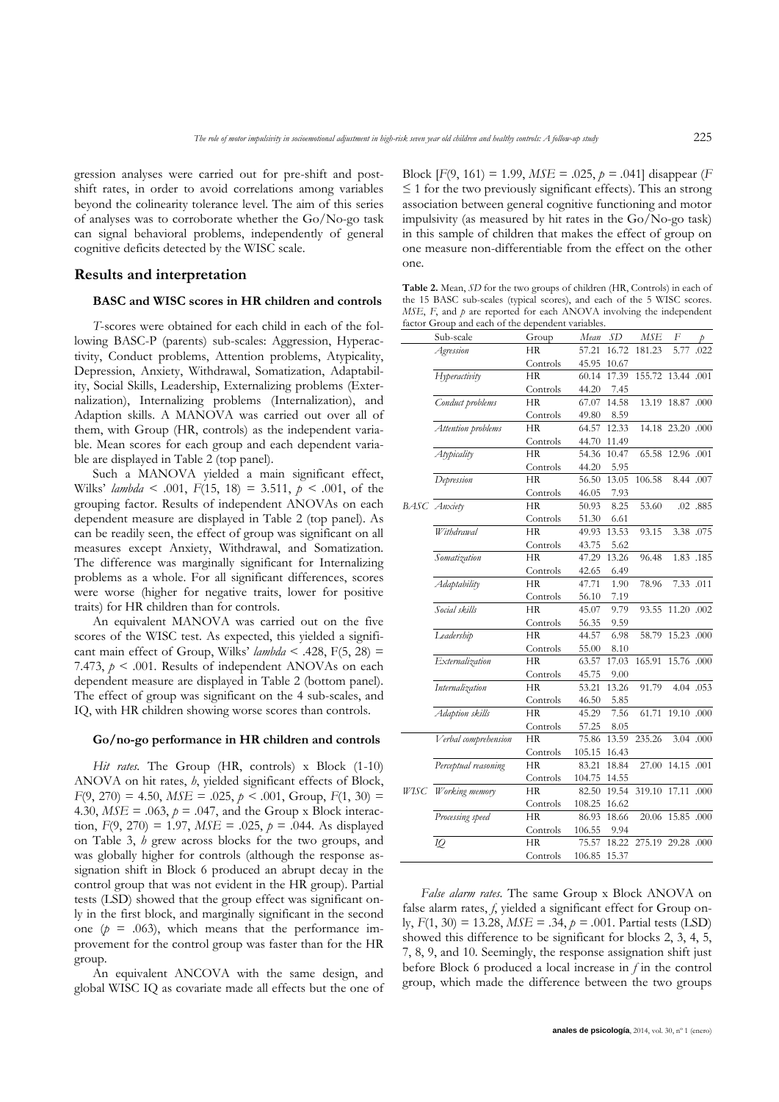gression analyses were carried out for pre-shift and postshift rates, in order to avoid correlations among variables beyond the colinearity tolerance level. The aim of this series of analyses was to corroborate whether the Go/No-go task can signal behavioral problems, independently of general cognitive deficits detected by the WISC scale.

### **Results and interpretation**

#### **BASC and WISC scores in HR children and controls**

*T*-scores were obtained for each child in each of the following BASC-P (parents) sub-scales: Aggression, Hyperactivity, Conduct problems, Attention problems, Atypicality, Depression, Anxiety, Withdrawal, Somatization, Adaptability, Social Skills, Leadership, Externalizing problems (Externalization), Internalizing problems (Internalization), and Adaption skills. A MANOVA was carried out over all of them, with Group (HR, controls) as the independent variable. Mean scores for each group and each dependent variable are displayed in Table 2 (top panel).

Such a MANOVA yielded a main significant effect, Wilks" *lambda* < .001, *F*(15, 18) = 3.511, *p < .*001, of the grouping factor. Results of independent ANOVAs on each dependent measure are displayed in Table 2 (top panel). As can be readily seen, the effect of group was significant on all measures except Anxiety, Withdrawal, and Somatization. The difference was marginally significant for Internalizing problems as a whole. For all significant differences, scores were worse (higher for negative traits, lower for positive traits) for HR children than for controls.

An equivalent MANOVA was carried out on the five scores of the WISC test. As expected, this yielded a significant main effect of Group, Wilks'  $lambda < .428$ , F(5, 28) = 7.473,  $p \leq 0.001$ . Results of independent ANOVAs on each dependent measure are displayed in Table 2 (bottom panel). The effect of group was significant on the 4 sub-scales, and IQ, with HR children showing worse scores than controls.

#### **Go/no-go performance in HR children and controls**

*Hit rates.* The Group (HR, controls) x Block (1-10) ANOVA on hit rates, *h*, yielded significant effects of Block,  $F(9, 270) = 4.50$ ,  $MSE = .025$ ,  $p < .001$ , Group,  $F(1, 30) =$ 4.30,  $MSE = .063$ ,  $p = .047$ , and the Group x Block interaction,  $F(9, 270) = 1.97$ ,  $MSE = .025$ ,  $p = .044$ . As displayed on Table 3, *h* grew across blocks for the two groups, and was globally higher for controls (although the response assignation shift in Block 6 produced an abrupt decay in the control group that was not evident in the HR group). Partial tests (LSD) showed that the group effect was significant only in the first block, and marginally significant in the second one  $(p = .063)$ , which means that the performance improvement for the control group was faster than for the HR group.

An equivalent ANCOVA with the same design, and global WISC IQ as covariate made all effects but the one of Block [*F*(9, 161) = 1.99, *MSE* = .025, *p = .*041] disappear (*F*   $\leq$  1 for the two previously significant effects). This an strong association between general cognitive functioning and motor impulsivity (as measured by hit rates in the Go/No-go task) in this sample of children that makes the effect of group on one measure non-differentiable from the effect on the other one.

**Table 2.** Mean, *SD* for the two groups of children (HR, Controls) in each of the 15 BASC sub-scales (typical scores), and each of the 5 WISC scores. *MSE*, *F*, and *p* are reported for each ANOVA involving the independent factor Group and each of the dependent variables

|                     | Sub-scale            | Group     | Mean   | SD    | <b>MSE</b> | F                                                                                                                                                                                                                                                                                         |  |
|---------------------|----------------------|-----------|--------|-------|------------|-------------------------------------------------------------------------------------------------------------------------------------------------------------------------------------------------------------------------------------------------------------------------------------------|--|
|                     | Agression            | НR        | 57.21  | 16.72 | 181.23     | 5.77                                                                                                                                                                                                                                                                                      |  |
|                     |                      | Controls  | 45.95  | 10.67 |            |                                                                                                                                                                                                                                                                                           |  |
|                     | Hyperactivity        | <b>HR</b> | 60.14  | 17.39 |            |                                                                                                                                                                                                                                                                                           |  |
|                     |                      | Controls  | 44.20  | 7.45  |            |                                                                                                                                                                                                                                                                                           |  |
|                     | Conduct problems     | НR        | 67.07  | 14.58 | 13.19      |                                                                                                                                                                                                                                                                                           |  |
|                     |                      | Controls  | 49.80  | 8.59  |            |                                                                                                                                                                                                                                                                                           |  |
|                     | Attention problems   | <b>HR</b> | 64.57  | 12.33 |            |                                                                                                                                                                                                                                                                                           |  |
|                     |                      | Controls  | 44.70  | 11.49 |            |                                                                                                                                                                                                                                                                                           |  |
|                     | Atypicality          | <b>HR</b> | 54.36  | 10.47 | 65.58      |                                                                                                                                                                                                                                                                                           |  |
|                     |                      | Controls  | 44.20  | 5.95  |            |                                                                                                                                                                                                                                                                                           |  |
|                     | Depression           | HR        | 56.50  | 13.05 | 106.58     |                                                                                                                                                                                                                                                                                           |  |
|                     |                      | Controls  | 46.05  | 7.93  |            |                                                                                                                                                                                                                                                                                           |  |
| <b>BASC</b> Anxiety |                      | <b>HR</b> | 50.93  | 8.25  | 53.60      |                                                                                                                                                                                                                                                                                           |  |
|                     |                      | Controls  | 51.30  | 6.61  |            |                                                                                                                                                                                                                                                                                           |  |
|                     | Withdrawal           | HR        | 49.93  | 13.53 | 93.15      |                                                                                                                                                                                                                                                                                           |  |
|                     |                      | Controls  | 43.75  | 5.62  |            |                                                                                                                                                                                                                                                                                           |  |
|                     | Somatization         | <b>HR</b> | 47.29  | 13.26 | 96.48      |                                                                                                                                                                                                                                                                                           |  |
|                     |                      | Controls  | 42.65  | 6.49  |            |                                                                                                                                                                                                                                                                                           |  |
|                     | Adaptability         | <b>HR</b> | 47.71  | 1.90  | 78.96      |                                                                                                                                                                                                                                                                                           |  |
|                     |                      | Controls  | 56.10  | 7.19  |            |                                                                                                                                                                                                                                                                                           |  |
|                     | Social skills        | <b>HR</b> | 45.07  | 9.79  | 93.55      |                                                                                                                                                                                                                                                                                           |  |
|                     |                      | Controls  | 56.35  | 9.59  |            |                                                                                                                                                                                                                                                                                           |  |
|                     | Leadership           | <b>HR</b> | 44.57  | 6.98  | 58.79      |                                                                                                                                                                                                                                                                                           |  |
|                     |                      | Controls  | 55.00  | 8.10  |            |                                                                                                                                                                                                                                                                                           |  |
|                     | Externalization      | <b>HR</b> | 63.57  | 17.03 | 165.91     |                                                                                                                                                                                                                                                                                           |  |
|                     |                      | Controls  | 45.75  | 9.00  |            |                                                                                                                                                                                                                                                                                           |  |
|                     | Internalization      | <b>HR</b> | 53.21  | 13.26 | 91.79      |                                                                                                                                                                                                                                                                                           |  |
|                     |                      | Controls  | 46.50  | 5.85  |            |                                                                                                                                                                                                                                                                                           |  |
|                     | Adaption skills      | <b>HR</b> | 45.29  | 7.56  | 61.71      |                                                                                                                                                                                                                                                                                           |  |
|                     |                      | Controls  | 57.25  | 8.05  |            | .022<br>155.72 13.44 .001<br>18.87 .000<br>14.18 23.20 .000<br>12.96 .001<br>8.44 .007<br>.02 .885<br>3.38 .075<br>1.83.185<br>7.33 .011<br>11.20 .002<br>15.23 .000<br>15.76 .000<br>4.04 .053<br>19.10 .000<br>3.04 .000<br>14.15 .001<br>17.11 .000<br>15.85 .000<br>275.19 29.28 .000 |  |
|                     | Verbal comprehension | <b>HR</b> | 75.86  | 13.59 | 235.26     |                                                                                                                                                                                                                                                                                           |  |
|                     |                      | Controls  | 105.15 | 16.43 |            |                                                                                                                                                                                                                                                                                           |  |
|                     | Perceptual reasoning | <b>HR</b> | 83.21  | 18.84 | 27.00      |                                                                                                                                                                                                                                                                                           |  |
|                     |                      | Controls  | 104.75 | 14.55 |            |                                                                                                                                                                                                                                                                                           |  |
|                     | WISC Working memory  | <b>HR</b> | 82.50  | 19.54 | 319.10     |                                                                                                                                                                                                                                                                                           |  |
|                     |                      | Controls  | 108.25 | 16.62 |            |                                                                                                                                                                                                                                                                                           |  |
|                     | Processing speed     | <b>HR</b> | 86.93  | 18.66 | 20.06      |                                                                                                                                                                                                                                                                                           |  |
|                     |                      | Controls  | 106.55 | 9.94  |            |                                                                                                                                                                                                                                                                                           |  |
|                     | IQ                   | <b>HR</b> | 75.57  | 18.22 |            |                                                                                                                                                                                                                                                                                           |  |
|                     |                      | Controls  | 106.85 | 15.37 |            |                                                                                                                                                                                                                                                                                           |  |

*False alarm rates.* The same Group x Block ANOVA on false alarm rates, f, yielded a significant effect for Group only, *F*(1, 30) = 13.28, *MSE* = .34, *p = .*001. Partial tests (LSD) showed this difference to be significant for blocks 2, 3, 4, 5, 7, 8, 9, and 10. Seemingly, the response assignation shift just before Block 6 produced a local increase in *f* in the control group, which made the difference between the two groups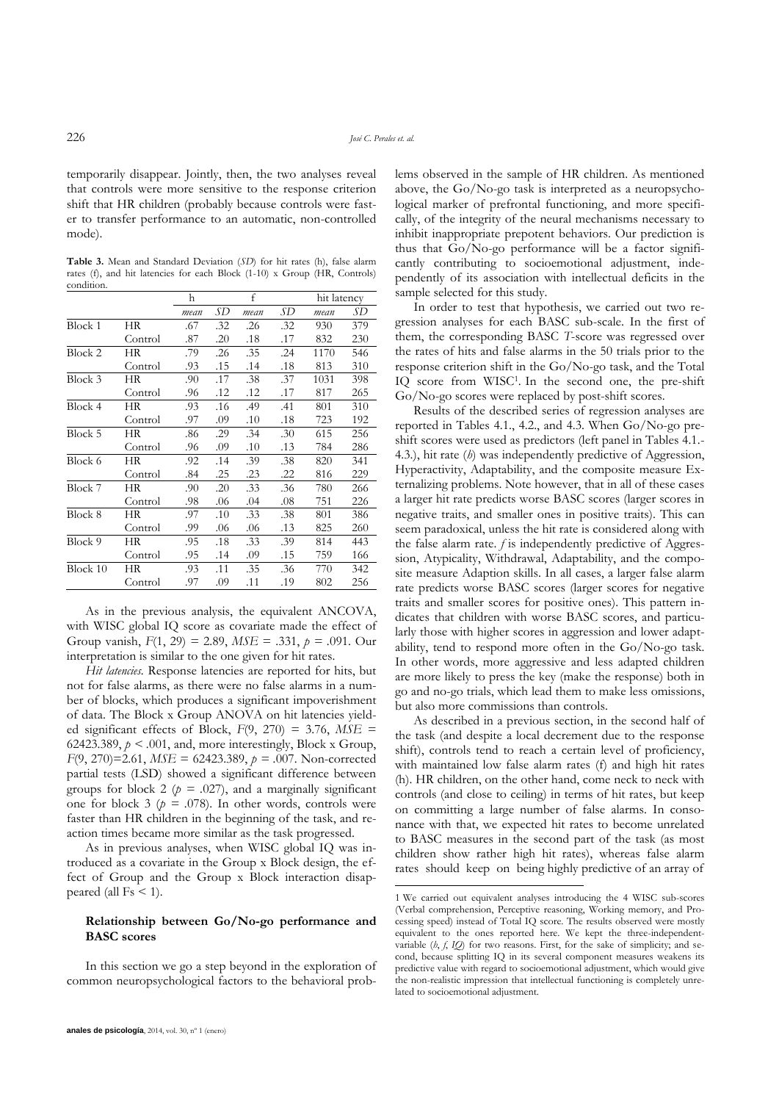-

temporarily disappear. Jointly, then, the two analyses reveal that controls were more sensitive to the response criterion shift that HR children (probably because controls were faster to transfer performance to an automatic, non-controlled mode).

**Table 3.** Mean and Standard Deviation (*SD*) for hit rates (h), false alarm rates (f), and hit latencies for each Block (1-10) x Group (HR, Controls) condition.

|          |           | h    |     | f    |     | hit latency |     |
|----------|-----------|------|-----|------|-----|-------------|-----|
|          |           | mean | SD  | mean | SD  | mean        | SD  |
| Block 1  | НR        | .67  | .32 | .26  | .32 | 930         | 379 |
|          | Control   | .87  | .20 | .18  | .17 | 832         | 230 |
| Block 2  | HR.       | .79  | .26 | .35  | .24 | 1170        | 546 |
|          | Control   | .93  | .15 | .14  | .18 | 813         | 310 |
| Block 3  | HR        | .90  | .17 | .38  | .37 | 1031        | 398 |
|          | Control   | .96  | .12 | .12  | .17 | 817         | 265 |
| Block 4  | HR.       | .93  | .16 | .49  | .41 | 801         | 310 |
|          | Control   | .97  | .09 | .10  | .18 | 723         | 192 |
| Block 5  | HR        | .86  | .29 | .34  | .30 | 615         | 256 |
|          | Control   | .96  | .09 | .10  | .13 | 784         | 286 |
| Block 6  | <b>HR</b> | .92  | .14 | .39  | .38 | 820         | 341 |
|          | Control   | .84  | .25 | .23  | .22 | 816         | 229 |
| Block 7  | HR        | .90  | .20 | .33  | .36 | 780         | 266 |
|          | Control   | .98  | .06 | .04  | .08 | 751         | 226 |
| Block 8  | HR        | .97  | .10 | .33  | .38 | 801         | 386 |
|          | Control   | .99  | .06 | .06  | .13 | 825         | 260 |
| Block 9  | HR        | .95  | .18 | .33  | .39 | 814         | 443 |
|          | Control   | .95  | .14 | .09  | .15 | 759         | 166 |
| Block 10 | HR        | .93  | .11 | .35  | .36 | 770         | 342 |
|          | Control   | .97  | .09 | .11  | .19 | 802         | 256 |

As in the previous analysis, the equivalent ANCOVA, with WISC global IQ score as covariate made the effect of Group vanish, *F*(1, 29) = 2.89, *MSE* = .331, *p = .*091. Our interpretation is similar to the one given for hit rates.

*Hit latencies.* Response latencies are reported for hits, but not for false alarms, as there were no false alarms in a number of blocks, which produces a significant impoverishment of data. The Block x Group ANOVA on hit latencies yielded significant effects of Block, *F*(9, 270) = 3.76, *MSE* = 62423.389,  $p < .001$ , and, more interestingly, Block x Group, *F*(9, 270)=2.61, *MSE* = 62423.389, *p = .*007. Non-corrected partial tests (LSD) showed a significant difference between groups for block 2 ( $p = .027$ ), and a marginally significant one for block 3 ( $p = .078$ ). In other words, controls were faster than HR children in the beginning of the task, and reaction times became more similar as the task progressed.

As in previous analyses, when WISC global IQ was introduced as a covariate in the Group x Block design, the effect of Group and the Group x Block interaction disappeared (all  $Fs < 1$ ).

#### **Relationship between Go/No-go performance and BASC scores**

In this section we go a step beyond in the exploration of common neuropsychological factors to the behavioral problems observed in the sample of HR children. As mentioned above, the Go/No-go task is interpreted as a neuropsychological marker of prefrontal functioning, and more specifically, of the integrity of the neural mechanisms necessary to inhibit inappropriate prepotent behaviors. Our prediction is thus that Go/No-go performance will be a factor significantly contributing to socioemotional adjustment, independently of its association with intellectual deficits in the sample selected for this study.

In order to test that hypothesis, we carried out two regression analyses for each BASC sub-scale. In the first of them, the corresponding BASC *T*-score was regressed over the rates of hits and false alarms in the 50 trials prior to the response criterion shift in the Go/No-go task, and the Total IQ score from WISC<sup>1</sup>. In the second one, the pre-shift Go/No-go scores were replaced by post-shift scores.

Results of the described series of regression analyses are reported in Tables 4.1., 4.2., and 4.3. When Go/No-go preshift scores were used as predictors (left panel in Tables 4.1.- 4.3.), hit rate (*h*) was independently predictive of Aggression, Hyperactivity, Adaptability, and the composite measure Externalizing problems. Note however, that in all of these cases a larger hit rate predicts worse BASC scores (larger scores in negative traits, and smaller ones in positive traits). This can seem paradoxical, unless the hit rate is considered along with the false alarm rate. *f* is independently predictive of Aggression, Atypicality, Withdrawal, Adaptability, and the composite measure Adaption skills. In all cases, a larger false alarm rate predicts worse BASC scores (larger scores for negative traits and smaller scores for positive ones). This pattern indicates that children with worse BASC scores, and particularly those with higher scores in aggression and lower adaptability, tend to respond more often in the Go/No-go task. In other words, more aggressive and less adapted children are more likely to press the key (make the response) both in go and no-go trials, which lead them to make less omissions, but also more commissions than controls.

As described in a previous section, in the second half of the task (and despite a local decrement due to the response shift), controls tend to reach a certain level of proficiency, with maintained low false alarm rates (f) and high hit rates (h). HR children, on the other hand, come neck to neck with controls (and close to ceiling) in terms of hit rates, but keep on committing a large number of false alarms. In consonance with that, we expected hit rates to become unrelated to BASC measures in the second part of the task (as most children show rather high hit rates), whereas false alarm rates should keep on being highly predictive of an array of

<sup>1</sup> <sup>2</sup>We carried out equivalent analyses introducing the 4 WISC sub-scores (Verbal comprehension, Perceptive reasoning, Working memory, and Processing speed) instead of Total IQ score. The results observed were mostly equivalent to the ones reported here. We kept the three-independentvariable  $(h, f, IQ)$  for two reasons. First, for the sake of simplicity; and second, because splitting IQ in its several component measures weakens its predictive value with regard to socioemotional adjustment, which would give the non-realistic impression that intellectual functioning is completely unrelated to socioemotional adjustment.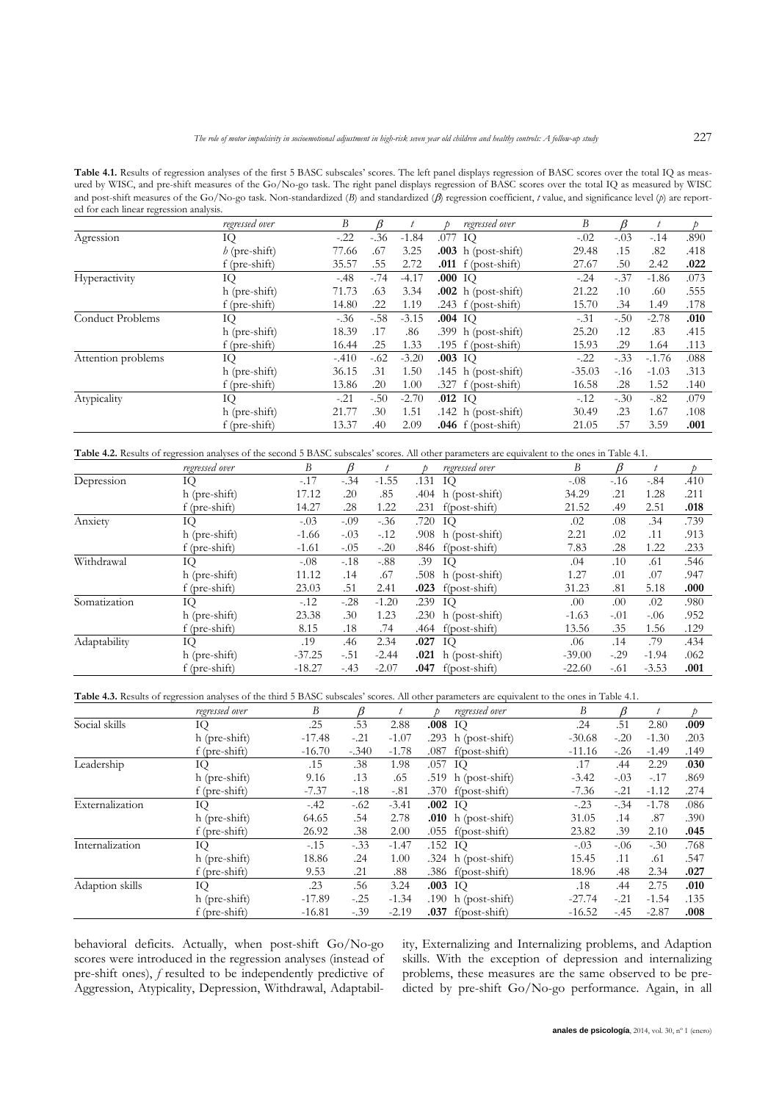Table 4.1. Results of regression analyses of the first 5 BASC subscales' scores. The left panel displays regression of BASC scores over the total IQ as measured by WISC, and pre-shift measures of the Go/No-go task. The right panel displays regression of BASC scores over the total IQ as measured by WISC and post-shift measures of the Go/No-go task. Non-standardized (*B*) and standardized ( $\beta$ ) regression coefficient, *t* value, and significance level (*p*) are reported for each linear regression analysis.

|                    | regressed over  | B       |        |         | regressed over          | В        | R      | t        |      |
|--------------------|-----------------|---------|--------|---------|-------------------------|----------|--------|----------|------|
| Agression          | IQ              | $-.22$  | $-.36$ | $-1.84$ | .077 IQ                 | $-.02$   | $-.03$ | $-.14$   | .890 |
|                    | $h$ (pre-shift) | 77.66   | .67    | 3.25    | $.003$ h (post-shift)   | 29.48    | .15    | .82      | .418 |
|                    | f (pre-shift)   | 35.57   | .55    | 2.72    | $.011\;$ f (post-shift) | 27.67    | .50    | 2.42     | .022 |
| Hyperactivity      | IQ              | $-48$   | $-.74$ | $-4.17$ | .000 IO                 | $-.24$   | $-.37$ | $-1.86$  | .073 |
|                    | h (pre-shift)   | 71.73   | .63    | 3.34    | $.002$ h (post-shift)   | 21.22    | .10    | .60      | .555 |
|                    | f (pre-shift)   | 14.80   | .22    | 1.19    | .243 $f$ (post-shift)   | 15.70    | .34    | 1.49     | .178 |
| Conduct Problems   | IQ              | $-.36$  | $-.58$ | $-3.15$ | .004 IO                 | $-.31$   | $-.50$ | $-2.78$  | .010 |
|                    | h (pre-shift)   | 18.39   | .17    | .86     | .399 $h$ (post-shift)   | 25.20    | .12    | .83      | .415 |
|                    | $f$ (pre-shift) | 16.44   | .25    | 1.33    | .195 $f$ (post-shift)   | 15.93    | .29    | 1.64     | .113 |
| Attention problems | IQ              | $-.410$ | $-.62$ | $-3.20$ | $.003$ IO               | $-.22$   | $-.33$ | $-.1.76$ | .088 |
|                    | h (pre-shift)   | 36.15   | .31    | 1.50    | .145 $h$ (post-shift)   | $-35.03$ | $-.16$ | $-1.03$  | .313 |
|                    | f (pre-shift)   | 13.86   | .20    | 1.00    | $.327 f$ (post-shift)   | 16.58    | .28    | 1.52     | .140 |
| Atypicality        | IQ              | $-.21$  | $-.50$ | $-2.70$ | $.012$ IQ               | $-.12$   | $-.30$ | $-.82$   | .079 |
|                    | h (pre-shift)   | 21.77   | .30    | 1.51    | .142 h $(post-shift)$   | 30.49    | .23    | 1.67     | .108 |
|                    | f (pre-shift)   | 13.37   | .40    | 2.09    | $.046$ f (post-shift)   | 21.05    | .57    | 3.59     | .001 |

Table 4.2. Results of regression analyses of the second 5 BASC subscales' scores. All other parameters are equivalent to the ones in Table 4.1.

|              | regressed over  | B        |        |         |      | regressed over                                                                                                                                                                                                                                                                                          | B                                                                                                                                                                                                                               | R                                                              |       |      |
|--------------|-----------------|----------|--------|---------|------|---------------------------------------------------------------------------------------------------------------------------------------------------------------------------------------------------------------------------------------------------------------------------------------------------------|---------------------------------------------------------------------------------------------------------------------------------------------------------------------------------------------------------------------------------|----------------------------------------------------------------|-------|------|
| Depression   | IQ              | $-.17$   | $-.34$ | $-1.55$ |      |                                                                                                                                                                                                                                                                                                         | $-.08$                                                                                                                                                                                                                          | $-16$                                                          | $-84$ | .410 |
|              | h (pre-shift)   | 17.12    | .20    | .85     |      |                                                                                                                                                                                                                                                                                                         | 34.29                                                                                                                                                                                                                           | .21                                                            | 1.28  | .211 |
|              | f (pre-shift)   | 14.27    | .28    | 1.22    | .231 |                                                                                                                                                                                                                                                                                                         | .49<br>21.52<br>.08<br>.34<br>.02<br>2.21<br>.02<br>.11<br>7.83<br>.28<br>.10<br>.04<br>.61<br>1.27<br>.07<br>.01<br>31.23<br>.81<br>.00<br>.02<br>.00<br>$-1.63$<br>$-.01$<br>.35<br>13.56<br>.14<br>.06<br>$-39.00$<br>$-.29$ | 2.51                                                           | .018  |      |
| Anxiety      | IQ              | $-.03$   | $-.09$ | $-.36$  |      |                                                                                                                                                                                                                                                                                                         |                                                                                                                                                                                                                                 |                                                                |       | .739 |
|              | h (pre-shift)   | $-1.66$  | $-.03$ | $-.12$  |      |                                                                                                                                                                                                                                                                                                         |                                                                                                                                                                                                                                 |                                                                |       | .913 |
|              | f (pre-shift)   | $-1.61$  | $-.05$ | $-.20$  |      |                                                                                                                                                                                                                                                                                                         |                                                                                                                                                                                                                                 |                                                                | 1.22  | .233 |
| Withdrawal   | IQ              | $-.08$   | $-.18$ | $-.88$  | .39  | IQ                                                                                                                                                                                                                                                                                                      |                                                                                                                                                                                                                                 |                                                                |       | .546 |
|              | h (pre-shift)   | 11.12    | .14    | .67     |      |                                                                                                                                                                                                                                                                                                         |                                                                                                                                                                                                                                 |                                                                |       | .947 |
|              | $f$ (pre-shift) | 23.03    | .51    | 2.41    |      |                                                                                                                                                                                                                                                                                                         |                                                                                                                                                                                                                                 | 5.18<br>$-0.06$<br>1.56<br>.79<br>$-1.94$<br>$-3.53$<br>$-.61$ | .000  |      |
| Somatization | IQ              | $-.12$   | $-.28$ | $-1.20$ |      | $.131$ IQ<br>$.404$ h (post-shift)<br>$f(post-shift)$<br>.720 IQ<br>$.908$ h (post-shift)<br>$.846$ f(post-shift)<br>$.508$ h (post-shift)<br>$.023$ f(post-shift)<br>.239 IO<br>.230 h $(post-shift)$<br>$.464$ f(post-shift)<br>$.027$ IQ<br>$.021$ h (post-shift)<br>$f($ post-shift $)$<br>$-22.60$ | .980                                                                                                                                                                                                                            |                                                                |       |      |
|              | h (pre-shift)   | 23.38    | .30    | 1.23    |      |                                                                                                                                                                                                                                                                                                         |                                                                                                                                                                                                                                 |                                                                |       | .952 |
|              | f (pre-shift)   | 8.15     | .18    | .74     |      |                                                                                                                                                                                                                                                                                                         |                                                                                                                                                                                                                                 |                                                                |       | .129 |
| Adaptability | IQ              | .19      | .46    | 2.34    |      |                                                                                                                                                                                                                                                                                                         |                                                                                                                                                                                                                                 |                                                                |       | .434 |
|              | h (pre-shift)   | $-37.25$ | $-.51$ | $-2.44$ |      |                                                                                                                                                                                                                                                                                                         |                                                                                                                                                                                                                                 |                                                                |       | .062 |
|              | f (pre-shift)   | $-18.27$ | $-.43$ | $-2.07$ | .047 |                                                                                                                                                                                                                                                                                                         |                                                                                                                                                                                                                                 |                                                                |       | .001 |

**Table 4.3.** Results of regression analyses of the third 5 BASC subscales" scores. All other parameters are equivalent to the ones in Table 4.1.

|                 | regressed over  | В        |         |         |           | regressed over        | B        |        |         |      |
|-----------------|-----------------|----------|---------|---------|-----------|-----------------------|----------|--------|---------|------|
| Social skills   | IQ              | .25      | .53     | 2.88    | $.008$ IQ |                       | .24      | .51    | 2.80    | .009 |
|                 | h (pre-shift)   | $-17.48$ | $-.21$  | $-1.07$ |           | .293 h $(post-shift)$ | $-30.68$ | $-.20$ | $-1.30$ | .203 |
|                 | f (pre-shift)   | $-16.70$ | $-.340$ | $-1.78$ | .087      | $f(post-shift)$       | $-11.16$ | $-.26$ | $-1.49$ | .149 |
| Leadership      | IQ              | .15      | .38     | 1.98    | .057 IQ   |                       | .17      | .44    | 2.29    | .030 |
|                 | h (pre-shift)   | 9.16     | .13     | .65     |           | $.519$ h (post-shift) | $-3.42$  | $-.03$ | $-.17$  | .869 |
|                 | $f$ (pre-shift) | $-7.37$  | $-.18$  | $-.81$  |           | $.370$ f(post-shift)  | $-7.36$  | $-.21$ | $-1.12$ | .274 |
| Externalization | IQ              | $-.42$   | $-.62$  | $-3.41$ | $.002$ IQ |                       | $-.23$   | $-.34$ | $-1.78$ | .086 |
|                 | h (pre-shift)   | 64.65    | .54     | 2.78    |           | $.010$ h (post-shift) | 31.05    | .14    | .87     | .390 |
|                 | $f$ (pre-shift) | 26.92    | .38     | 2.00    |           | $.055$ f(post-shift)  | 23.82    | .39    | 2.10    | .045 |
| Internalization | IQ              | $-.15$   | $-.33$  | $-1.47$ | $.152$ IQ |                       | $-.03$   | $-.06$ | $-.30$  | .768 |
|                 | h (pre-shift)   | 18.86    | .24     | 1.00    |           | $.324$ h (post-shift) | 15.45    | .11    | .61     | .547 |
|                 | f (pre-shift)   | 9.53     | .21     | .88     |           | $.386$ f(post-shift)  | 18.96    | .48    | 2.34    | .027 |
| Adaption skills | IQ              | .23      | .56     | 3.24    | $.003$ IQ |                       | .18      | .44    | 2.75    | .010 |
|                 | h (pre-shift)   | $-17.89$ | $-.25$  | $-1.34$ |           | $.190$ h (post-shift) | $-27.74$ | $-.21$ | $-1.54$ | .135 |
|                 | f (pre-shift)   | $-16.81$ | $-.39$  | $-2.19$ |           | $.037$ f(post-shift)  | $-16.52$ | $-.45$ | $-2.87$ | .008 |

behavioral deficits. Actually, when post-shift Go/No-go scores were introduced in the regression analyses (instead of pre-shift ones), *f* resulted to be independently predictive of Aggression, Atypicality, Depression, Withdrawal, Adaptability, Externalizing and Internalizing problems, and Adaption skills. With the exception of depression and internalizing problems, these measures are the same observed to be predicted by pre-shift Go/No-go performance. Again, in all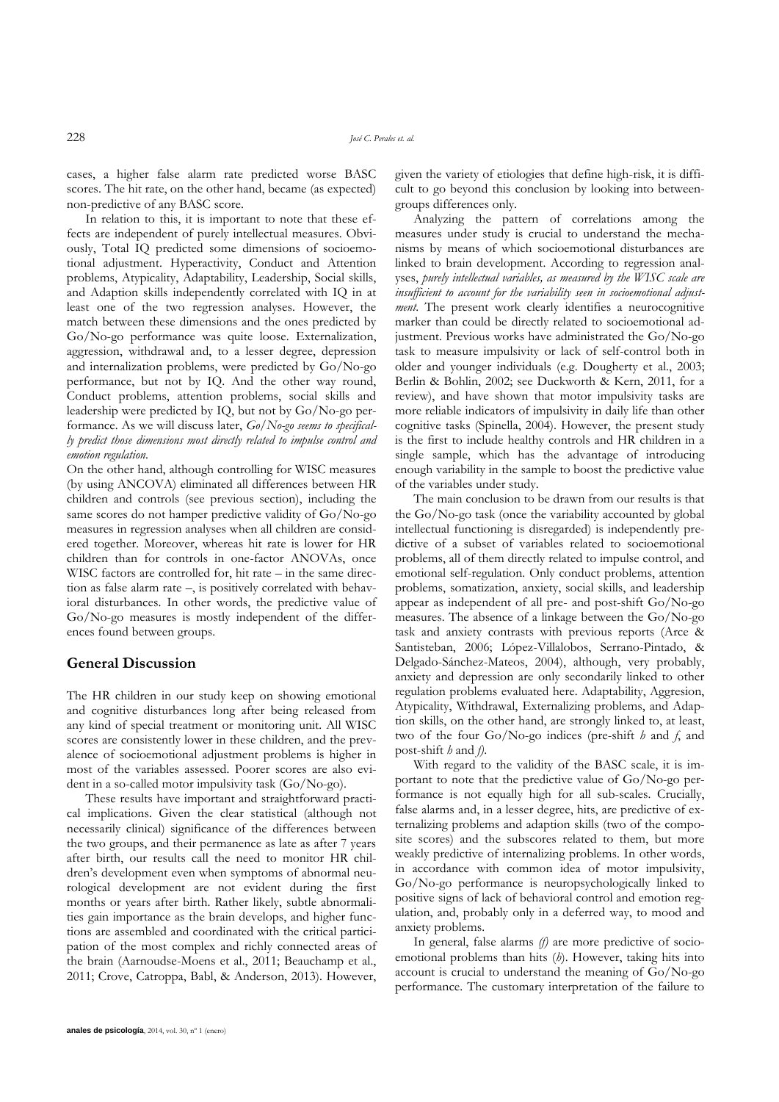cases, a higher false alarm rate predicted worse BASC scores. The hit rate, on the other hand, became (as expected) non-predictive of any BASC score.

In relation to this, it is important to note that these effects are independent of purely intellectual measures. Obviously, Total IQ predicted some dimensions of socioemotional adjustment. Hyperactivity, Conduct and Attention problems, Atypicality, Adaptability, Leadership, Social skills, and Adaption skills independently correlated with IQ in at least one of the two regression analyses. However, the match between these dimensions and the ones predicted by Go/No-go performance was quite loose. Externalization, aggression, withdrawal and, to a lesser degree, depression and internalization problems, were predicted by Go/No-go performance, but not by IQ. And the other way round, Conduct problems, attention problems, social skills and leadership were predicted by IQ, but not by Go/No-go performance. As we will discuss later, *Go/No-go seems to specifically predict those dimensions most directly related to impulse control and emotion regulation*.

On the other hand, although controlling for WISC measures (by using ANCOVA) eliminated all differences between HR children and controls (see previous section), including the same scores do not hamper predictive validity of Go/No-go measures in regression analyses when all children are considered together. Moreover, whereas hit rate is lower for HR children than for controls in one-factor ANOVAs, once WISC factors are controlled for, hit rate – in the same direction as false alarm rate –, is positively correlated with behavioral disturbances. In other words, the predictive value of Go/No-go measures is mostly independent of the differences found between groups.

## **General Discussion**

The HR children in our study keep on showing emotional and cognitive disturbances long after being released from any kind of special treatment or monitoring unit. All WISC scores are consistently lower in these children, and the prevalence of socioemotional adjustment problems is higher in most of the variables assessed. Poorer scores are also evident in a so-called motor impulsivity task (Go/No-go).

These results have important and straightforward practical implications. Given the clear statistical (although not necessarily clinical) significance of the differences between the two groups, and their permanence as late as after 7 years after birth, our results call the need to monitor HR children"s development even when symptoms of abnormal neurological development are not evident during the first months or years after birth. Rather likely, subtle abnormalities gain importance as the brain develops, and higher functions are assembled and coordinated with the critical participation of the most complex and richly connected areas of the brain (Aarnoudse-Moens et al., 2011; Beauchamp et al., 2011; Crove, Catroppa, Babl, & Anderson, 2013). However,

given the variety of etiologies that define high-risk, it is difficult to go beyond this conclusion by looking into betweengroups differences only.

Analyzing the pattern of correlations among the measures under study is crucial to understand the mechanisms by means of which socioemotional disturbances are linked to brain development. According to regression analyses, *purely intellectual variables, as measured by the WISC scale are insufficient to account for the variability seen in socioemotional adjustment*. The present work clearly identifies a neurocognitive marker than could be directly related to socioemotional adjustment. Previous works have administrated the Go/No-go task to measure impulsivity or lack of self-control both in older and younger individuals (e.g. Dougherty et al., 2003; Berlin & Bohlin, 2002; see Duckworth & Kern, 2011, for a review), and have shown that motor impulsivity tasks are more reliable indicators of impulsivity in daily life than other cognitive tasks (Spinella, 2004). However, the present study is the first to include healthy controls and HR children in a single sample, which has the advantage of introducing enough variability in the sample to boost the predictive value of the variables under study.

The main conclusion to be drawn from our results is that the Go/No-go task (once the variability accounted by global intellectual functioning is disregarded) is independently predictive of a subset of variables related to socioemotional problems, all of them directly related to impulse control, and emotional self-regulation. Only conduct problems, attention problems, somatization, anxiety, social skills, and leadership appear as independent of all pre- and post-shift Go/No-go measures. The absence of a linkage between the Go/No-go task and anxiety contrasts with previous reports (Arce & Santisteban, 2006; López-Villalobos, Serrano-Pintado, & Delgado-Sánchez-Mateos, 2004), although, very probably, anxiety and depression are only secondarily linked to other regulation problems evaluated here. Adaptability, Aggresion, Atypicality, Withdrawal, Externalizing problems, and Adaption skills, on the other hand, are strongly linked to, at least, two of the four Go/No-go indices (pre-shift *h* and *f*, and post-shift *h* and *f)*.

With regard to the validity of the BASC scale, it is important to note that the predictive value of Go/No-go performance is not equally high for all sub-scales. Crucially, false alarms and, in a lesser degree, hits, are predictive of externalizing problems and adaption skills (two of the composite scores) and the subscores related to them, but more weakly predictive of internalizing problems. In other words, in accordance with common idea of motor impulsivity, Go/No-go performance is neuropsychologically linked to positive signs of lack of behavioral control and emotion regulation, and, probably only in a deferred way, to mood and anxiety problems.

In general, false alarms *(f)* are more predictive of socioemotional problems than hits (*h*). However, taking hits into account is crucial to understand the meaning of Go/No-go performance. The customary interpretation of the failure to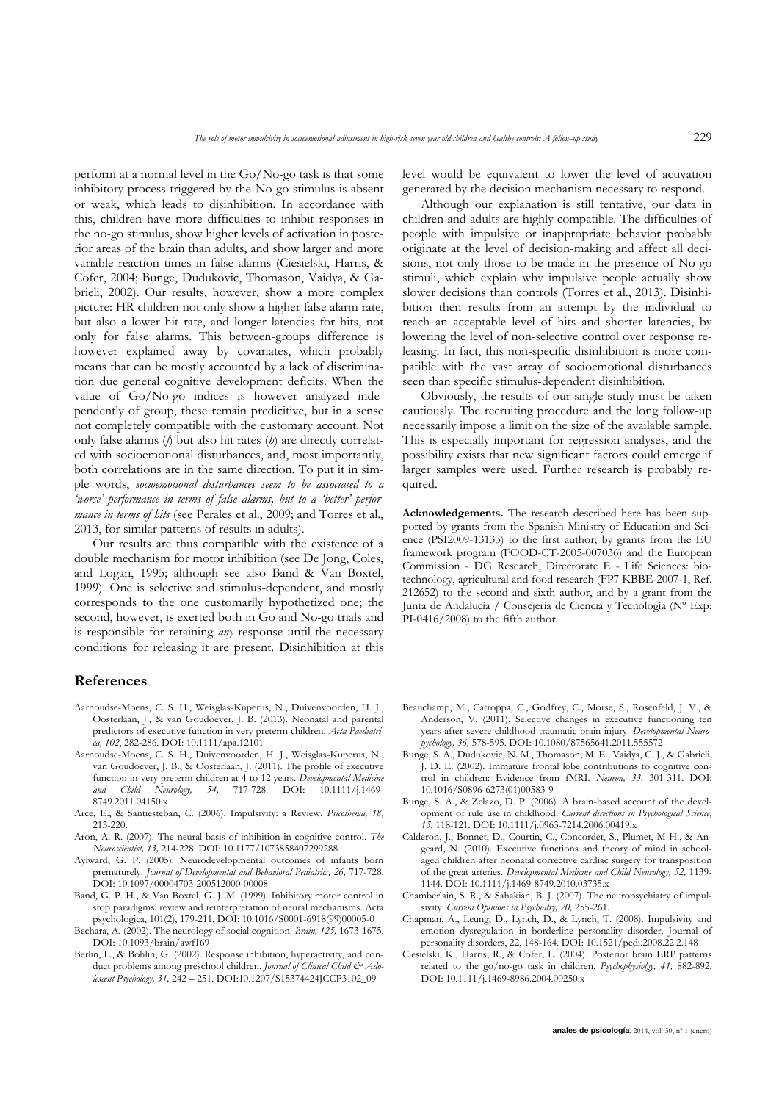perform at a normal level in the Go/No-go task is that some inhibitory process triggered by the No-go stimulus is absent or weak, which leads to disinhibition. In accordance with this, children have more difficulties to inhibit responses in the no-go stimulus, show higher levels of activation in posterior areas of the brain than adults, and show larger and more variable reaction times in false alarms (Ciesielski, Harris, & Cofer, 2004; Bunge, Dudukovic, Thomason, Vaidya, & Gabrieli, 2002). Our results, however, show a more complex picture: HR children not only show a higher false alarm rate, but also a lower hit rate, and longer latencies for hits, not only for false alarms. This between-groups difference is however explained away by covariates, which probably means that can be mostly accounted by a lack of discrimination due general cognitive development deficits. When the value of Go/No-go indices is however analyzed independently of group, these remain predicitive, but in a sense not completely compatible with the customary account. Not only false alarms (*f*) but also hit rates (*h*) are directly correlated with socioemotional disturbances, and, most importantly, both correlations are in the same direction. To put it in simple words, *socioemotional disturbances seem to be associated to a 'worse' performance in terms of false alarms, but to a 'better' performance in terms of hits* (see Perales et al., 2009; and Torres et al., 2013, for similar patterns of results in adults).

Our results are thus compatible with the existence of a double mechanism for motor inhibition (see De Jong, Coles, and Logan, 1995; although see also Band & Van Boxtel, 1999). One is selective and stimulus-dependent, and mostly corresponds to the one customarily hypothetized one; the second, however, is exerted both in Go and No-go trials and is responsible for retaining *any* response until the necessary conditions for releasing it are present. Disinhibition at this

#### **References**

- Aarnoudse-Moens, C. S. H., Weisglas-Kuperus, N., Duivenvoorden, H. J., Oosterlaan, J., & van Goudoever, J. B. (2013). Neonatal and parental predictors of executive function in very preterm children. *Acta Paediatrica, 102*, 282-286. DOI: 10.1111/apa.12101
- Aarnoudse-Moens, C. S. H., Duivenvoorden, H. J., Weisglas-Kuperus, N., van Goudoever, J. B., & Oosterlaan, J. (2011). The profile of executive function in very preterm children at 4 to 12 years. *Developmental Medicine and Child Neurology, 54,* 717-728. DOI: 10.1111/j.1469- 8749.2011.04150.x
- Arce, E., & Santiesteban, C. (2006). Impulsivity: a Review. *Psicothema, 18,* 213-220.
- Aron, A. R. (2007). The neural basis of inhibition in cognitive control. *The Neuroscientist, 13,* 214-228. DOI: 10.1177/1073858407299288
- Aylward, G. P. (2005). Neurodevelopmental outcomes of infants born prematurely. *Journal of Developmental and Behavioral Pediatrics, 26,* 717-728. DOI: 10.1097/00004703-200512000-00008
- Band, G. P. H., & Van Boxtel, G. J. M. (1999). Inhibitory motor control in stop paradigms: review and reinterpretation of neural mechanisms. Acta psychologica, 101(2), 179-211. DOI: 10.1016/S0001-6918(99)00005-0
- Bechara, A. (2002). The neurology of social cognition. *Brain, 125,* 1673-1675. DOI: 10.1093/brain/awf169
- Berlin, L., & Bohlin, G. (2002). Response inhibition, hyperactivity, and conduct problems among preschool children. *Journal of Clinical Child & Adolescent Psychology, 31,* 242 – 251. DOI:10.1207/S15374424JCCP3102\_09

level would be equivalent to lower the level of activation generated by the decision mechanism necessary to respond.

Although our explanation is still tentative, our data in children and adults are highly compatible. The difficulties of people with impulsive or inappropriate behavior probably originate at the level of decision-making and affect all decisions, not only those to be made in the presence of No-go stimuli, which explain why impulsive people actually show slower decisions than controls (Torres et al., 2013). Disinhibition then results from an attempt by the individual to reach an acceptable level of hits and shorter latencies, by lowering the level of non-selective control over response releasing. In fact, this non-specific disinhibition is more compatible with the vast array of socioemotional disturbances seen than specific stimulus-dependent disinhibition.

Obviously, the results of our single study must be taken cautiously. The recruiting procedure and the long follow-up necessarily impose a limit on the size of the available sample. This is especially important for regression analyses, and the possibility exists that new significant factors could emerge if larger samples were used. Further research is probably required.

**Acknowledgements.** The research described here has been supported by grants from the Spanish Ministry of Education and Science (PSI2009-13133) to the first author; by grants from the EU framework program (FOOD-CT-2005-007036) and the European Commission - DG Research, Directorate E - Life Sciences: biotechnology, agricultural and food research (FP7 KBBE-2007-1, Ref. 212652) to the second and sixth author, and by a grant from the Junta de Andalucía / Consejería de Ciencia y Tecnología (Nº Exp: PI-0416/2008) to the fifth author.

- Beauchamp, M., Catroppa, C., Godfrey, C., Morse, S., Rosenfeld, J. V., & Anderson, V. (2011). Selective changes in executive functioning ten years after severe childhood traumatic brain injury. *Developmental Neuropychology, 36,* 578-595. DOI: 10.1080/87565641.2011.555572
- Bunge, S. A., Dudukovic, N. M., Thomason, M. E., Vaidya, C. J., & Gabrieli, J. D. E. (2002). Immature frontal lobe contributions to cognitive control in children: Evidence from fMRI. *Neuron, 33,* 301-311. DOI: 10.1016/S0896-6273(01)00583-9
- Bunge, S. A., & Zelazo, D. P. (2006). A brain-based account of the development of rule use in childhood. *Current directions in Psychological Science, 15,* 118-121. DOI: 10.1111/j.0963-7214.2006.00419.x
- Calderon, J., Bonnet, D., Courtin, C., Concordet, S., Plumet, M-H., & Angeard, N. (2010). Executive functions and theory of mind in schoolaged children after neonatal corrective cardiac surgery for transposition of the great arteries. *Developmental Medicine and Child Neurology, 52,* 1139- 1144. DOI: 10.1111/j.1469-8749.2010.03735.x
- Chamberlain, S. R., & Sahakian, B. J. (2007). The neuropsychiatry of impulsivity. *Current Opinions in Psychiatry, 20,* 255-261.
- Chapman, A., Leung, D., Lynch, D., & Lynch, T. (2008). Impulsivity and emotion dysregulation in borderline personality disorder. Journal of personality disorders, 22, 148-164. DOI: 10.1521/pedi.2008.22.2.148
- Ciesielski, K., Harris, R., & Cofer, L. (2004). Posterior brain ERP patterns related to the go/no-go task in children. *Psychophysiolgy, 41,* 882-892. DOI: 10.1111/j.1469-8986.2004.00250.x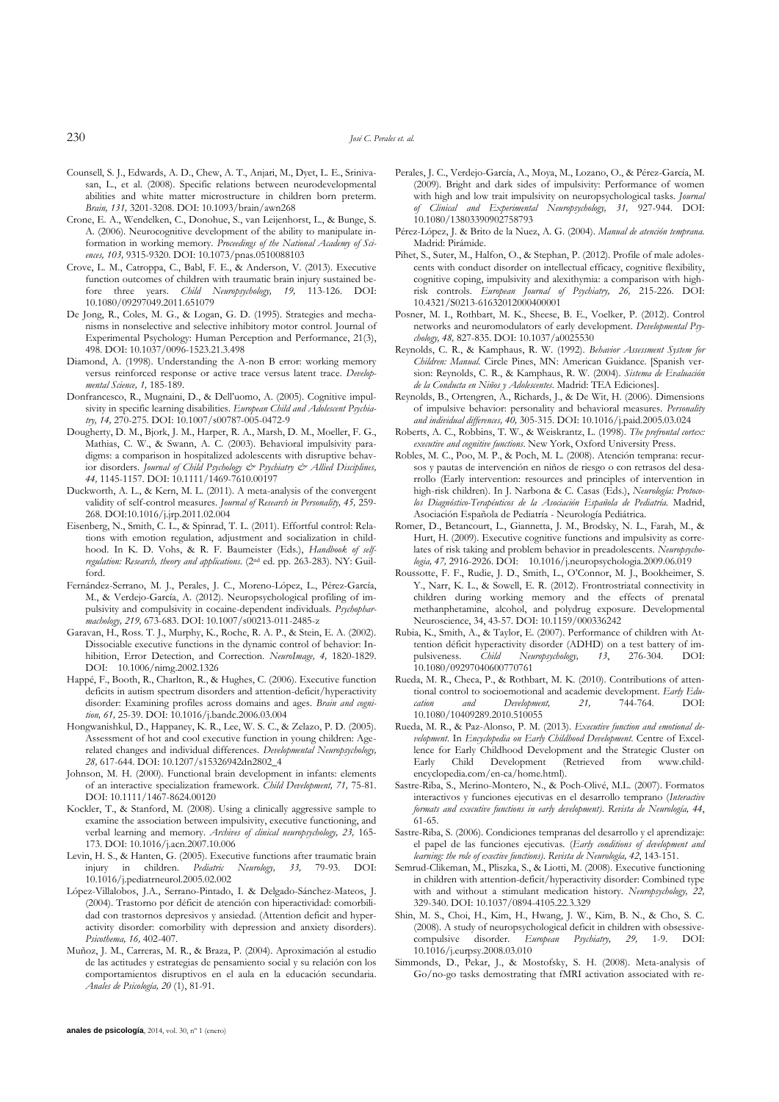- Counsell, S. J., Edwards, A. D., Chew, A. T., Anjari, M., Dyet, L. E., Srinivasan, L., et al. (2008). Specific relations between neurodevelopmental abilities and white matter microstructure in children born preterm. *Brain, 131,* 3201-3208. DOI: 10.1093/brain/awn268
- Crone, E. A., Wendelken, C., Donohue, S., van Leijenhorst, L., & Bunge, S. A. (2006). Neurocognitive development of the ability to manipulate information in working memory. *Proceedings of the National Academy of Sciences, 103,* 9315-9320. DOI: 10.1073/pnas.0510088103
- Crove, L. M., Catroppa, C., Babl, F. E., & Anderson, V. (2013). Executive function outcomes of children with traumatic brain injury sustained before three years. *Child Neuropsychology, 19,* 113-126. DOI: 10.1080/09297049.2011.651079
- De Jong, R., Coles, M. G., & Logan, G. D. (1995). Strategies and mechanisms in nonselective and selective inhibitory motor control. Journal of Experimental Psychology: Human Perception and Performance, 21(3), 498. DOI: 10.1037/0096-1523.21.3.498
- Diamond, A. (1998). Understanding the A-non B error: working memory versus reinforced response or active trace versus latent trace. *Developmental Science, 1,* 185-189.
- Donfrancesco, R., Mugnaini, D., & Dell"uomo, A. (2005). Cognitive impulsivity in specific learning disabilities. *European Child and Adolescent Psychiatry, 14,* 270-275. DOI: 10.1007/s00787-005-0472-9
- Dougherty, D. M., Bjork, J. M., Harper, R. A., Marsh, D. M., Moeller, F. G., Mathias, C. W., & Swann, A. C. (2003). Behavioral impulsivity paradigms: a comparison in hospitalized adolescents with disruptive behavior disorders. *Journal of Child Psychology & Psychiatry & Allied Disciplines, 44,* 1145-1157. DOI: 10.1111/1469-7610.00197
- Duckworth, A. L., & Kern, M. L. (2011). A meta-analysis of the convergent validity of self-control measures. *Journal of Research in Personality, 45,* 259- 268. DOI:10.1016/j.jrp.2011.02.004
- Eisenberg, N., Smith, C. L., & Spinrad, T. L. (2011). Effortful control: Relations with emotion regulation, adjustment and socialization in childhood. In K. D. Vohs, & R. F. Baumeister (Eds.), *Handbook of selfregulation: Research, theory and applications.* (2nd ed. pp. 263-283). NY: Guilford.
- Fernández-Serrano, M. J., Perales, J. C., Moreno-López, L., Pérez-García, M., & Verdejo-García, A. (2012). Neuropsychological profiling of impulsivity and compulsivity in cocaine-dependent individuals. *Psychopharmachology, 219,* 673-683. DOI: 10.1007/s00213-011-2485-z
- Garavan, H., Ross. T. J., Murphy, K., Roche, R. A. P., & Stein, E. A. (2002). Dissociable executive functions in the dynamic control of behavior: Inhibition, Error Detection, and Correction. *NeuroImage, 4,* 1820-1829. DOI: 10.1006/nimg.2002.1326
- Happé, F., Booth, R., Charlton, R., & Hughes, C. (2006). Executive function deficits in autism spectrum disorders and attention-deficit/hyperactivity disorder: Examining profiles across domains and ages. *Brain and cognition, 61,* 25-39. DOI: 10.1016/j.bandc.2006.03.004
- Hongwanishkul, D., Happaney, K. R., Lee, W. S. C., & Zelazo, P. D. (2005). Assessment of hot and cool executive function in young children: Agerelated changes and individual differences. *Developmental Neuropsychology, 28,* 617-644. DOI: 10.1207/s15326942dn2802\_4
- Johnson, M. H. (2000). Functional brain development in infants: elements of an interactive specialization framework. *Child Development, 71,* 75-81. DOI: 10.1111/1467-8624.00120
- Kockler, T., & Stanford, M. (2008). Using a clinically aggressive sample to examine the association between impulsivity, executive functioning, and verbal learning and memory. *Archives of clinical neuropsychology, 23,* 165- 173. DOI: 10.1016/j.acn.2007.10.006
- Levin, H. S., & Hanten, G. (2005). Executive functions after traumatic brain injury in children. *Pediatric Neurology, 33,* 79-93. DOI: 10.1016/j.pediatrneurol.2005.02.002
- López-Villalobos, J.A., Serrano-Pintado, I. & Delgado-Sánchez-Mateos, J. (2004). Trastorno por déficit de atención con hiperactividad: comorbilidad con trastornos depresivos y ansiedad. (Attention deficit and hyperactivity disorder: comorbility with depression and anxiety disorders). *Psicothema, 16,* 402-407.
- Muñoz, J. M., Carreras, M. R., & Braza, P. (2004). Aproximación al estudio de las actitudes y estrategias de pensamiento social y su relación con los comportamientos disruptivos en el aula en la educación secundaria. *Anales de Psicología, 20* (1), 81-91.
- Perales, J. C., Verdejo-García, A., Moya, M., Lozano, O., & Pérez-García, M. (2009). Bright and dark sides of impulsivity: Performance of women with high and low trait impulsivity on neuropsychological tasks. *Journal of Clinical and Experimental Neuropsychology, 31,* 927-944. DOI: 10.1080/13803390902758793
- Pérez-López, J. & Brito de la Nuez, A. G. (2004). *Manual de atención temprana.* Madrid: Pirámide.
- Pihet, S., Suter, M., Halfon, O., & Stephan, P. (2012). Profile of male adolescents with conduct disorder on intellectual efficacy, cognitive flexibility, cognitive coping, impulsivity and alexithymia: a comparison with highrisk controls. *European Journal of Psychiatry, 26,* 215-226. DOI: 10.4321/S0213-61632012000400001
- Posner, M. I., Rothbart, M. K., Sheese, B. E., Voelker, P. (2012). Control networks and neuromodulators of early development. *Developmental Psychology, 48,* 827-835. DOI: 10.1037/a0025530
- Reynolds, C. R., & Kamphaus, R. W. (1992). *Behavior Assessment System for Children: Manual.* Circle Pines, MN: American Guidance. [Spanish version: Reynolds, C. R., & Kamphaus, R. W. (2004). *Sistema de Evaluación de la Conducta en Niños y Adolescentes*. Madrid: TEA Ediciones].
- Reynolds, B., Ortengren, A., Richards, J., & De Wit, H. (2006). Dimensions of impulsive behavior: personality and behavioral measures. *Personality and individual differences, 40,* 305-315. DOI: 10.1016/j.paid.2005.03.024
- Roberts, A. C., Robbins, T. W., & Weiskrantz, L. (1998). *The prefrontal cortex: executive and cognitive functions*. New York, Oxford University Press.
- Robles, M. C., Poo, M. P., & Poch, M. L. (2008). Atención temprana: recursos y pautas de intervención en niños de riesgo o con retrasos del desarrollo (Early intervention: resources and principles of intervention in high-risk children). In J. Narbona & C. Casas (Eds.), *Neurología: Protocolos Diagnóstico-Terapéuticos de la Asociación Española de Pediatría.* Madrid, Asociación Española de Pediatría - Neurología Pediátrica.
- Romer, D., Betancourt, L., Giannetta, J. M., Brodsky, N. L., Farah, M., & Hurt, H. (2009). Executive cognitive functions and impulsivity as correlates of risk taking and problem behavior in preadolescents. *Neuropsychologia, 47,* 2916-2926. DOI: 10.1016/j.neuropsychologia.2009.06.019
- Roussotte, F. F., Rudie, J. D., Smith, L., O"Connor, M. J., Bookheimer, S. Y., Narr, K. L., & Sowell, E. R. (2012). Frontrostriatal connectivity in children during working memory and the effects of prenatal methanphetamine, alcohol, and polydrug exposure. Developmental Neuroscience, 34, 43-57. DOI: 10.1159/000336242
- Rubia, K., Smith, A., & Taylor, E. (2007). Performance of children with Attention déficit hyperactivity disorder (ADHD) on a test battery of impulsiveness. *Child Neuropsychology, 13*, 276-304. DOI: 10.1080/09297040600770761
- Rueda, M. R., Checa, P., & Rothbart, M. K. (2010). Contributions of attentional control to socioemotional and academic development. *Early Education and Development, 21,* 744-764. DOI: 10.1080/10409289.2010.510055
- Rueda, M. R., & Paz-Alonso, P. M. (2013). *Executive function and emotional development*. In *Encyclopedia on Early Childhood Development*. Centre of Excellence for Early Childhood Development and the Strategic Cluster on Early Child Development (Retrieved from www.childencyclopedia.com/en-ca/home.html).
- Sastre-Riba, S., Merino-Montero, N., & Poch-Olivé, M.L. (2007). Formatos interactivos y funciones ejecutivas en el desarrollo temprano (*Interactive formats and executive functions in early development)*. *Revista de Neurología, 44*, 61-65.
- Sastre-Riba, S. (2006). Condiciones tempranas del desarrollo y el aprendizaje: el papel de las funciones ejecutivas. (*Early conditions of development and learning: the role of exective functions)*. *Revista de Neurología, 42*, 143-151.
- Semrud-Clikeman, M., Pliszka, S., & Liotti, M. (2008). Executive functioning in children with attention-deficit/hyperactivity disorder: Combined type with and without a stimulant medication history. *Neuropsychology, 22,* 329-340. DOI: 10.1037/0894-4105.22.3.329
- Shin, M. S., Choi, H., Kim, H., Hwang, J. W., Kim, B. N., & Cho, S. C. (2008). A study of neuropsychological deficit in children with obsessivecompulsive disorder. *European Psychiatry, 29,* 1-9. DOI: 10.1016/j.eurpsy.2008.03.010
- Simmonds, D., Pekar, J., & Mostofsky, S. H. (2008). Meta-analysis of Go/no-go tasks demostrating that fMRI activation associated with re-